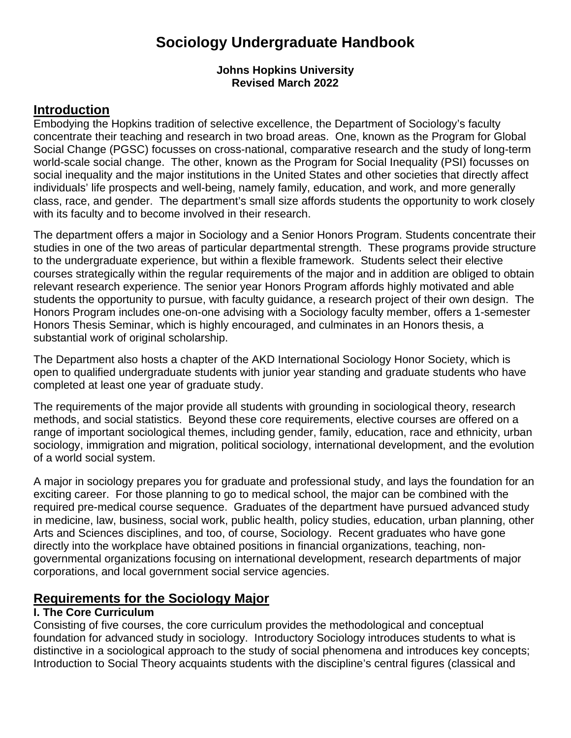# **Sociology Undergraduate Handbook**

#### **Johns Hopkins University Revised March 2022**

### **Introduction**

Embodying the Hopkins tradition of selective excellence, the Department of Sociology's faculty concentrate their teaching and research in two broad areas. One, known as the Program for Global Social Change (PGSC) focusses on cross-national, comparative research and the study of long-term world-scale social change. The other, known as the Program for Social Inequality (PSI) focusses on social inequality and the major institutions in the United States and other societies that directly affect individuals' life prospects and well-being, namely family, education, and work, and more generally class, race, and gender. The department's small size affords students the opportunity to work closely with its faculty and to become involved in their research.

The department offers a major in Sociology and a Senior Honors Program. Students concentrate their studies in one of the two areas of particular departmental strength. These programs provide structure to the undergraduate experience, but within a flexible framework. Students select their elective courses strategically within the regular requirements of the major and in addition are obliged to obtain relevant research experience. The senior year Honors Program affords highly motivated and able students the opportunity to pursue, with faculty guidance, a research project of their own design. The Honors Program includes one-on-one advising with a Sociology faculty member, offers a 1-semester Honors Thesis Seminar, which is highly encouraged, and culminates in an Honors thesis, a substantial work of original scholarship.

The Department also hosts a chapter of the AKD International Sociology Honor Society, which is open to qualified undergraduate students with junior year standing and graduate students who have completed at least one year of graduate study.

The requirements of the major provide all students with grounding in sociological theory, research methods, and social statistics. Beyond these core requirements, elective courses are offered on a range of important sociological themes, including gender, family, education, race and ethnicity, urban sociology, immigration and migration, political sociology, international development, and the evolution of a world social system.

A major in sociology prepares you for graduate and professional study, and lays the foundation for an exciting career. For those planning to go to medical school, the major can be combined with the required pre-medical course sequence. Graduates of the department have pursued advanced study in medicine, law, business, social work, public health, policy studies, education, urban planning, other Arts and Sciences disciplines, and too, of course, Sociology. Recent graduates who have gone directly into the workplace have obtained positions in financial organizations, teaching, nongovernmental organizations focusing on international development, research departments of major corporations, and local government social service agencies.

# **Requirements for the Sociology Major**

#### **I. The Core Curriculum**

Consisting of five courses, the core curriculum provides the methodological and conceptual foundation for advanced study in sociology. Introductory Sociology introduces students to what is distinctive in a sociological approach to the study of social phenomena and introduces key concepts; Introduction to Social Theory acquaints students with the discipline's central figures (classical and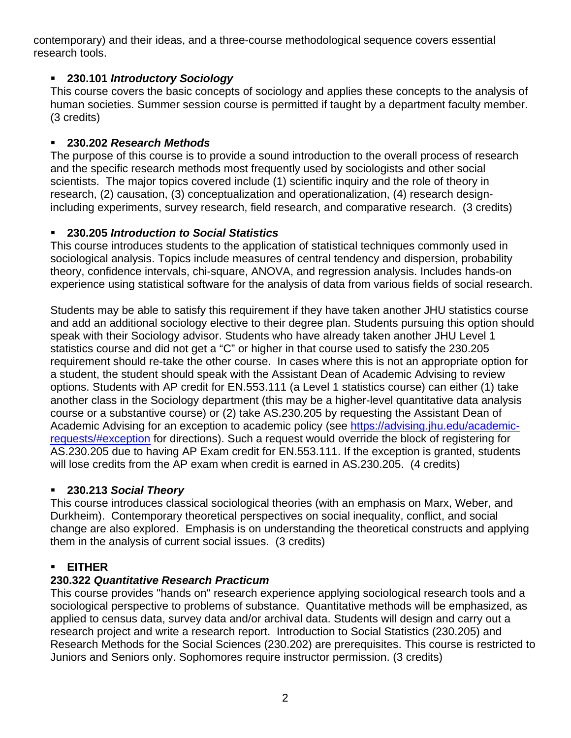contemporary) and their ideas, and a three-course methodological sequence covers essential research tools.

#### **230.101** *Introductory Sociology*

This course covers the basic concepts of sociology and applies these concepts to the analysis of human societies. Summer session course is permitted if taught by a department faculty member. (3 credits)

#### **230.202** *Research Methods*

The purpose of this course is to provide a sound introduction to the overall process of research and the specific research methods most frequently used by sociologists and other social scientists. The major topics covered include (1) scientific inquiry and the role of theory in research, (2) causation, (3) conceptualization and operationalization, (4) research designincluding experiments, survey research, field research, and comparative research. (3 credits)

#### **230.205** *Introduction to Social Statistics*

This course introduces students to the application of statistical techniques commonly used in sociological analysis. Topics include measures of central tendency and dispersion, probability theory, confidence intervals, chi-square, ANOVA, and regression analysis. Includes hands-on experience using statistical software for the analysis of data from various fields of social research.

Students may be able to satisfy this requirement if they have taken another JHU statistics course and add an additional sociology elective to their degree plan. Students pursuing this option should speak with their Sociology advisor. Students who have already taken another JHU Level 1 statistics course and did not get a "C" or higher in that course used to satisfy the 230.205 requirement should re-take the other course. In cases where this is not an appropriate option for a student, the student should speak with the Assistant Dean of Academic Advising to review options. Students with AP credit for EN.553.111 (a Level 1 statistics course) can either (1) take another class in the Sociology department (this may be a higher-level quantitative data analysis course or a substantive course) or (2) take AS.230.205 by requesting the Assistant Dean of Academic Advising for an exception to academic policy (see [https://advising.jhu.edu/academic](https://advising.jhu.edu/academic-requests/#exception)[requests/#exception](https://advising.jhu.edu/academic-requests/#exception) for directions). Such a request would override the block of registering for AS.230.205 due to having AP Exam credit for EN.553.111. If the exception is granted, students will lose credits from the AP exam when credit is earned in AS.230.205. (4 credits)

### **230.213** *Social Theory*

This course introduces classical sociological theories (with an emphasis on Marx, Weber, and Durkheim). Contemporary theoretical perspectives on social inequality, conflict, and social change are also explored. Emphasis is on understanding the theoretical constructs and applying them in the analysis of current social issues. (3 credits)

#### **EITHER**

### **230.322** *Quantitative Research Practicum*

This course provides "hands on" research experience applying sociological research tools and a sociological perspective to problems of substance. Quantitative methods will be emphasized, as applied to census data, survey data and/or archival data. Students will design and carry out a research project and write a research report. Introduction to Social Statistics (230.205) and Research Methods for the Social Sciences (230.202) are prerequisites. This course is restricted to Juniors and Seniors only. Sophomores require instructor permission. (3 credits)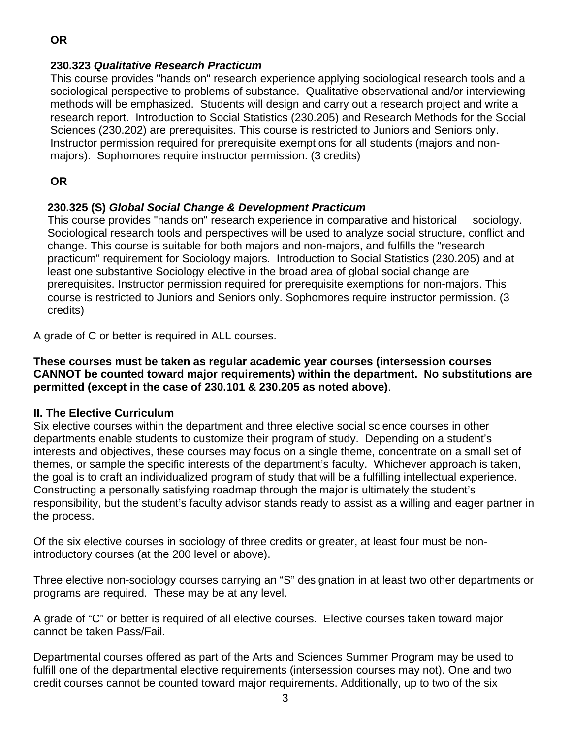#### **230.323** *Qualitative Research Practicum*

This course provides "hands on" research experience applying sociological research tools and a sociological perspective to problems of substance. Qualitative observational and/or interviewing methods will be emphasized. Students will design and carry out a research project and write a research report. Introduction to Social Statistics (230.205) and Research Methods for the Social Sciences (230.202) are prerequisites. This course is restricted to Juniors and Seniors only. Instructor permission required for prerequisite exemptions for all students (majors and nonmajors). Sophomores require instructor permission. (3 credits)

**OR**

#### **230.325 (S)** *Global Social Change & Development Practicum*

This course provides "hands on" research experience in comparative and historical sociology. Sociological research tools and perspectives will be used to analyze social structure, conflict and change. This course is suitable for both majors and non-majors, and fulfills the "research practicum" requirement for Sociology majors. Introduction to Social Statistics (230.205) and at least one substantive Sociology elective in the broad area of global social change are prerequisites. Instructor permission required for prerequisite exemptions for non-majors. This course is restricted to Juniors and Seniors only. Sophomores require instructor permission. (3 credits)

A grade of C or better is required in ALL courses.

**These courses must be taken as regular academic year courses (intersession courses CANNOT be counted toward major requirements) within the department. No substitutions are permitted (except in the case of 230.101 & 230.205 as noted above)**.

#### **II. The Elective Curriculum**

Six elective courses within the department and three elective social science courses in other departments enable students to customize their program of study. Depending on a student's interests and objectives, these courses may focus on a single theme, concentrate on a small set of themes, or sample the specific interests of the department's faculty. Whichever approach is taken, the goal is to craft an individualized program of study that will be a fulfilling intellectual experience. Constructing a personally satisfying roadmap through the major is ultimately the student's responsibility, but the student's faculty advisor stands ready to assist as a willing and eager partner in the process.

Of the six elective courses in sociology of three credits or greater, at least four must be nonintroductory courses (at the 200 level or above).

Three elective non-sociology courses carrying an "S" designation in at least two other departments or programs are required. These may be at any level.

A grade of "C" or better is required of all elective courses. Elective courses taken toward major cannot be taken Pass/Fail.

Departmental courses offered as part of the Arts and Sciences Summer Program may be used to fulfill one of the departmental elective requirements (intersession courses may not). One and two credit courses cannot be counted toward major requirements. Additionally, up to two of the six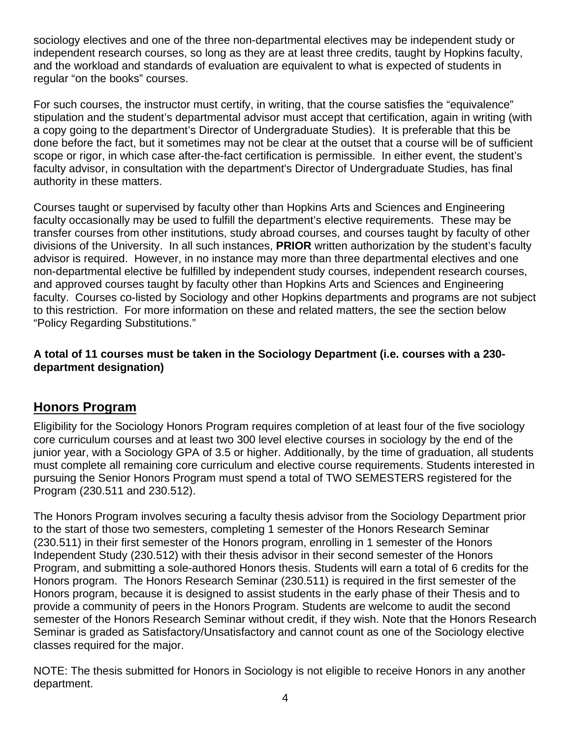sociology electives and one of the three non-departmental electives may be independent study or independent research courses, so long as they are at least three credits, taught by Hopkins faculty, and the workload and standards of evaluation are equivalent to what is expected of students in regular "on the books" courses.

For such courses, the instructor must certify, in writing, that the course satisfies the "equivalence" stipulation and the student's departmental advisor must accept that certification, again in writing (with a copy going to the department's Director of Undergraduate Studies). It is preferable that this be done before the fact, but it sometimes may not be clear at the outset that a course will be of sufficient scope or rigor, in which case after-the-fact certification is permissible. In either event, the student's faculty advisor, in consultation with the department's Director of Undergraduate Studies, has final authority in these matters.

Courses taught or supervised by faculty other than Hopkins Arts and Sciences and Engineering faculty occasionally may be used to fulfill the department's elective requirements. These may be transfer courses from other institutions, study abroad courses, and courses taught by faculty of other divisions of the University. In all such instances, **PRIOR** written authorization by the student's faculty advisor is required. However, in no instance may more than three departmental electives and one non-departmental elective be fulfilled by independent study courses, independent research courses, and approved courses taught by faculty other than Hopkins Arts and Sciences and Engineering faculty. Courses co-listed by Sociology and other Hopkins departments and programs are not subject to this restriction. For more information on these and related matters, the see the section below "Policy Regarding Substitutions."

#### **A total of 11 courses must be taken in the Sociology Department (i.e. courses with a 230 department designation)**

## **Honors Program**

Eligibility for the Sociology Honors Program requires completion of at least four of the five sociology core curriculum courses and at least two 300 level elective courses in sociology by the end of the junior year, with a Sociology GPA of 3.5 or higher. Additionally, by the time of graduation, all students must complete all remaining core curriculum and elective course requirements. Students interested in pursuing the Senior Honors Program must spend a total of TWO SEMESTERS registered for the Program (230.511 and 230.512).

The Honors Program involves securing a faculty thesis advisor from the Sociology Department prior to the start of those two semesters, completing 1 semester of the Honors Research Seminar (230.511) in their first semester of the Honors program, enrolling in 1 semester of the Honors Independent Study (230.512) with their thesis advisor in their second semester of the Honors Program, and submitting a sole-authored Honors thesis. Students will earn a total of 6 credits for the Honors program. The Honors Research Seminar (230.511) is required in the first semester of the Honors program, because it is designed to assist students in the early phase of their Thesis and to provide a community of peers in the Honors Program. Students are welcome to audit the second semester of the Honors Research Seminar without credit, if they wish. Note that the Honors Research Seminar is graded as Satisfactory/Unsatisfactory and cannot count as one of the Sociology elective classes required for the major.

NOTE: The thesis submitted for Honors in Sociology is not eligible to receive Honors in any another department.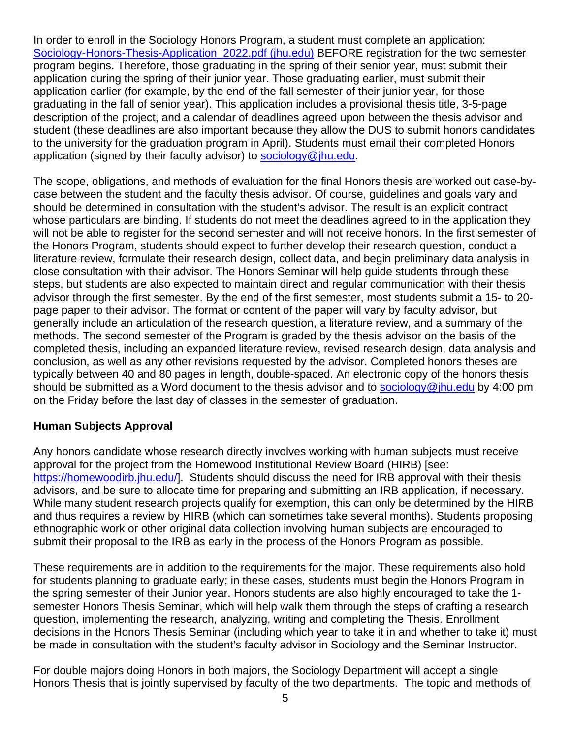In order to enroll in the Sociology Honors Program, a student must complete an application: Sociology-Honors-Thesis-Application 2022.pdf (jhu.edu) BEFORE registration for the two semester program begins. Therefore, those graduating in the spring of their senior year, must submit their application during the spring of their junior year. Those graduating earlier, must submit their application earlier (for example, by the end of the fall semester of their junior year, for those graduating in the fall of senior year). This application includes a provisional thesis title, 3-5-page description of the project, and a calendar of deadlines agreed upon between the thesis advisor and student (these deadlines are also important because they allow the DUS to submit honors candidates to the university for the graduation program in April). Students must email their completed Honors application (signed by their faculty advisor) to [sociology@jhu.edu.](mailto:sociology@jhu.edu)

The scope, obligations, and methods of evaluation for the final Honors thesis are worked out case-bycase between the student and the faculty thesis advisor. Of course, guidelines and goals vary and should be determined in consultation with the student's advisor. The result is an explicit contract whose particulars are binding. If students do not meet the deadlines agreed to in the application they will not be able to register for the second semester and will not receive honors. In the first semester of the Honors Program, students should expect to further develop their research question, conduct a literature review, formulate their research design, collect data, and begin preliminary data analysis in close consultation with their advisor. The Honors Seminar will help guide students through these steps, but students are also expected to maintain direct and regular communication with their thesis advisor through the first semester. By the end of the first semester, most students submit a 15- to 20 page paper to their advisor. The format or content of the paper will vary by faculty advisor, but generally include an articulation of the research question, a literature review, and a summary of the methods. The second semester of the Program is graded by the thesis advisor on the basis of the completed thesis, including an expanded literature review, revised research design, data analysis and conclusion, as well as any other revisions requested by the advisor. Completed honors theses are typically between 40 and 80 pages in length, double-spaced. An electronic copy of the honors thesis should be submitted as a Word document to the thesis advisor and to [sociology@jhu.edu](mailto:sociology@jhu.edu) by 4:00 pm on the Friday before the last day of classes in the semester of graduation.

#### **Human Subjects Approval**

Any honors candidate whose research directly involves working with human subjects must receive approval for the project from the Homewood Institutional Review Board (HIRB) [see: [https://homewoodirb.jhu.edu/\]](https://homewoodirb.jhu.edu/). Students should discuss the need for IRB approval with their thesis advisors, and be sure to allocate time for preparing and submitting an IRB application, if necessary. While many student research projects qualify for exemption, this can only be determined by the HIRB and thus requires a review by HIRB (which can sometimes take several months). Students proposing ethnographic work or other original data collection involving human subjects are encouraged to submit their proposal to the IRB as early in the process of the Honors Program as possible.

These requirements are in addition to the requirements for the major. These requirements also hold for students planning to graduate early; in these cases, students must begin the Honors Program in the spring semester of their Junior year. Honors students are also highly encouraged to take the 1 semester Honors Thesis Seminar, which will help walk them through the steps of crafting a research question, implementing the research, analyzing, writing and completing the Thesis. Enrollment decisions in the Honors Thesis Seminar (including which year to take it in and whether to take it) must be made in consultation with the student's faculty advisor in Sociology and the Seminar Instructor.

For double majors doing Honors in both majors, the Sociology Department will accept a single Honors Thesis that is jointly supervised by faculty of the two departments. The topic and methods of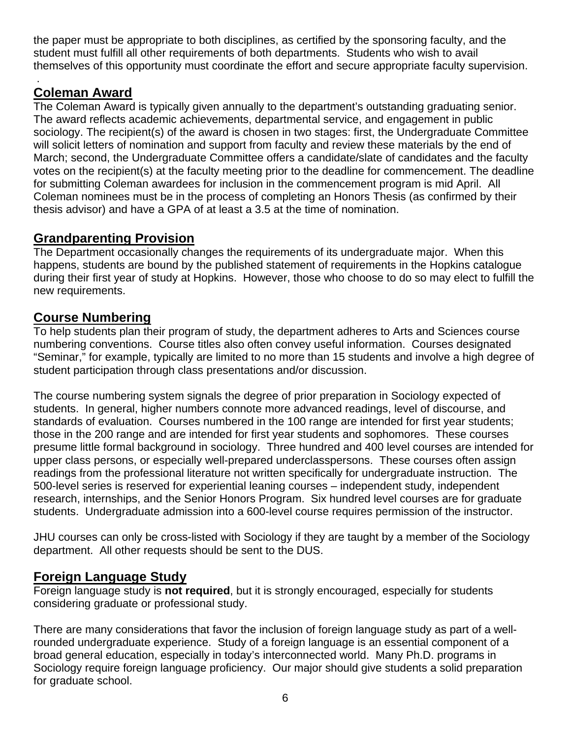the paper must be appropriate to both disciplines, as certified by the sponsoring faculty, and the student must fulfill all other requirements of both departments. Students who wish to avail themselves of this opportunity must coordinate the effort and secure appropriate faculty supervision.

#### . **Coleman Award**

The Coleman Award is typically given annually to the department's outstanding graduating senior. The award reflects academic achievements, departmental service, and engagement in public sociology. The recipient(s) of the award is chosen in two stages: first, the Undergraduate Committee will solicit letters of nomination and support from faculty and review these materials by the end of March; second, the Undergraduate Committee offers a candidate/slate of candidates and the faculty votes on the recipient(s) at the faculty meeting prior to the deadline for commencement. The deadline for submitting Coleman awardees for inclusion in the commencement program is mid April. All Coleman nominees must be in the process of completing an Honors Thesis (as confirmed by their thesis advisor) and have a GPA of at least a 3.5 at the time of nomination.

# **Grandparenting Provision**

The Department occasionally changes the requirements of its undergraduate major. When this happens, students are bound by the published statement of requirements in the Hopkins catalogue during their first year of study at Hopkins. However, those who choose to do so may elect to fulfill the new requirements.

# **Course Numbering**

To help students plan their program of study, the department adheres to Arts and Sciences course numbering conventions. Course titles also often convey useful information. Courses designated "Seminar," for example, typically are limited to no more than 15 students and involve a high degree of student participation through class presentations and/or discussion.

The course numbering system signals the degree of prior preparation in Sociology expected of students. In general, higher numbers connote more advanced readings, level of discourse, and standards of evaluation. Courses numbered in the 100 range are intended for first year students; those in the 200 range and are intended for first year students and sophomores. These courses presume little formal background in sociology. Three hundred and 400 level courses are intended for upper class persons, or especially well-prepared underclasspersons. These courses often assign readings from the professional literature not written specifically for undergraduate instruction. The 500-level series is reserved for experiential leaning courses – independent study, independent research, internships, and the Senior Honors Program. Six hundred level courses are for graduate students. Undergraduate admission into a 600-level course requires permission of the instructor.

JHU courses can only be cross-listed with Sociology if they are taught by a member of the Sociology department. All other requests should be sent to the DUS.

# **Foreign Language Study**

Foreign language study is **not required**, but it is strongly encouraged, especially for students considering graduate or professional study.

There are many considerations that favor the inclusion of foreign language study as part of a wellrounded undergraduate experience. Study of a foreign language is an essential component of a broad general education, especially in today's interconnected world. Many Ph.D. programs in Sociology require foreign language proficiency. Our major should give students a solid preparation for graduate school.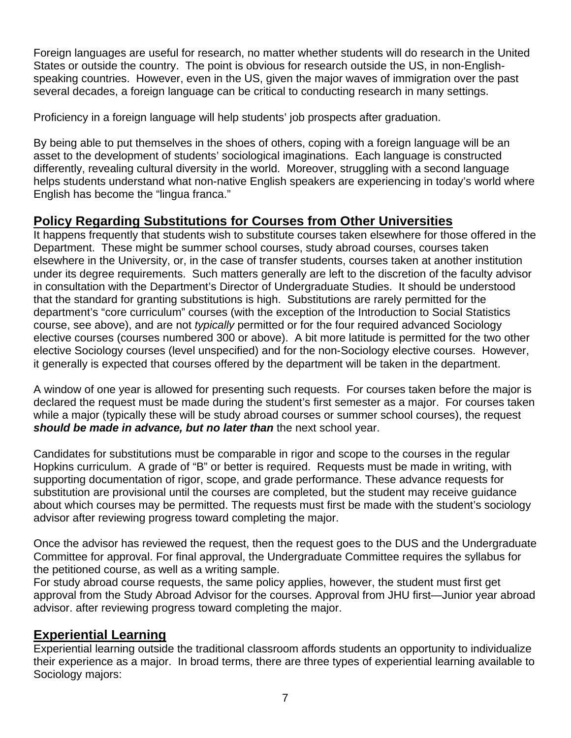Foreign languages are useful for research, no matter whether students will do research in the United States or outside the country. The point is obvious for research outside the US, in non-Englishspeaking countries. However, even in the US, given the major waves of immigration over the past several decades, a foreign language can be critical to conducting research in many settings.

Proficiency in a foreign language will help students' job prospects after graduation.

By being able to put themselves in the shoes of others, coping with a foreign language will be an asset to the development of students' sociological imaginations. Each language is constructed differently, revealing cultural diversity in the world. Moreover, struggling with a second language helps students understand what non-native English speakers are experiencing in today's world where English has become the "lingua franca."

# **Policy Regarding Substitutions for Courses from Other Universities**

It happens frequently that students wish to substitute courses taken elsewhere for those offered in the Department. These might be summer school courses, study abroad courses, courses taken elsewhere in the University, or, in the case of transfer students, courses taken at another institution under its degree requirements. Such matters generally are left to the discretion of the faculty advisor in consultation with the Department's Director of Undergraduate Studies. It should be understood that the standard for granting substitutions is high. Substitutions are rarely permitted for the department's "core curriculum" courses (with the exception of the Introduction to Social Statistics course, see above), and are not *typically* permitted or for the four required advanced Sociology elective courses (courses numbered 300 or above). A bit more latitude is permitted for the two other elective Sociology courses (level unspecified) and for the non-Sociology elective courses. However, it generally is expected that courses offered by the department will be taken in the department.

A window of one year is allowed for presenting such requests. For courses taken before the major is declared the request must be made during the student's first semester as a major. For courses taken while a major (typically these will be study abroad courses or summer school courses), the request *should be made in advance, but no later than* the next school year.

Candidates for substitutions must be comparable in rigor and scope to the courses in the regular Hopkins curriculum. A grade of "B" or better is required. Requests must be made in writing, with supporting documentation of rigor, scope, and grade performance. These advance requests for substitution are provisional until the courses are completed, but the student may receive guidance about which courses may be permitted. The requests must first be made with the student's sociology advisor after reviewing progress toward completing the major.

Once the advisor has reviewed the request, then the request goes to the DUS and the Undergraduate Committee for approval. For final approval, the Undergraduate Committee requires the syllabus for the petitioned course, as well as a writing sample.

For study abroad course requests, the same policy applies, however, the student must first get approval from the Study Abroad Advisor for the courses. Approval from JHU first—Junior year abroad advisor. after reviewing progress toward completing the major.

## **Experiential Learning**

Experiential learning outside the traditional classroom affords students an opportunity to individualize their experience as a major. In broad terms, there are three types of experiential learning available to Sociology majors: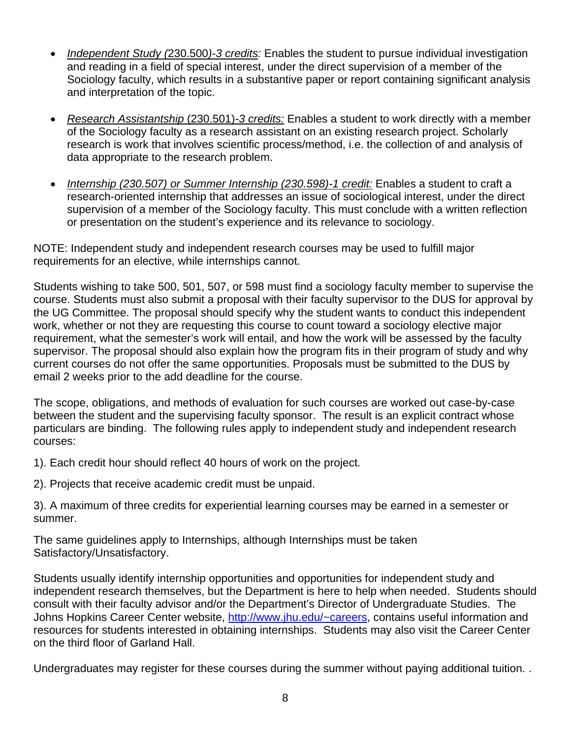- *Independent Study (*230.500*)-3 credits:* Enables the student to pursue individual investigation and reading in a field of special interest, under the direct supervision of a member of the Sociology faculty, which results in a substantive paper or report containing significant analysis and interpretation of the topic.
- *Research Assistantship* (230.501)*-3 credits:* Enables a student to work directly with a member of the Sociology faculty as a research assistant on an existing research project. Scholarly research is work that involves scientific process/method, i.e. the collection of and analysis of data appropriate to the research problem.
- *Internship (230.507) or Summer Internship (230.598)-1 credit:* Enables a student to craft a research-oriented internship that addresses an issue of sociological interest, under the direct supervision of a member of the Sociology faculty. This must conclude with a written reflection or presentation on the student's experience and its relevance to sociology.

NOTE: Independent study and independent research courses may be used to fulfill major requirements for an elective, while internships cannot.

Students wishing to take 500, 501, 507, or 598 must find a sociology faculty member to supervise the course. Students must also submit a proposal with their faculty supervisor to the DUS for approval by the UG Committee. The proposal should specify why the student wants to conduct this independent work, whether or not they are requesting this course to count toward a sociology elective major requirement, what the semester's work will entail, and how the work will be assessed by the faculty supervisor. The proposal should also explain how the program fits in their program of study and why current courses do not offer the same opportunities. Proposals must be submitted to the DUS by email 2 weeks prior to the add deadline for the course.

The scope, obligations, and methods of evaluation for such courses are worked out case-by-case between the student and the supervising faculty sponsor. The result is an explicit contract whose particulars are binding. The following rules apply to independent study and independent research courses:

1). Each credit hour should reflect 40 hours of work on the project.

2). Projects that receive academic credit must be unpaid.

3). A maximum of three credits for experiential learning courses may be earned in a semester or summer.

The same guidelines apply to Internships, although Internships must be taken Satisfactory/Unsatisfactory.

Students usually identify internship opportunities and opportunities for independent study and independent research themselves, but the Department is here to help when needed. Students should consult with their faculty advisor and/or the Department's Director of Undergraduate Studies. The Johns Hopkins Career Center website, [http://www.jhu.edu/~careers,](http://www.jhu.edu/%7Ecareers) contains useful information and resources for students interested in obtaining internships. Students may also visit the Career Center on the third floor of Garland Hall.

Undergraduates may register for these courses during the summer without paying additional tuition. .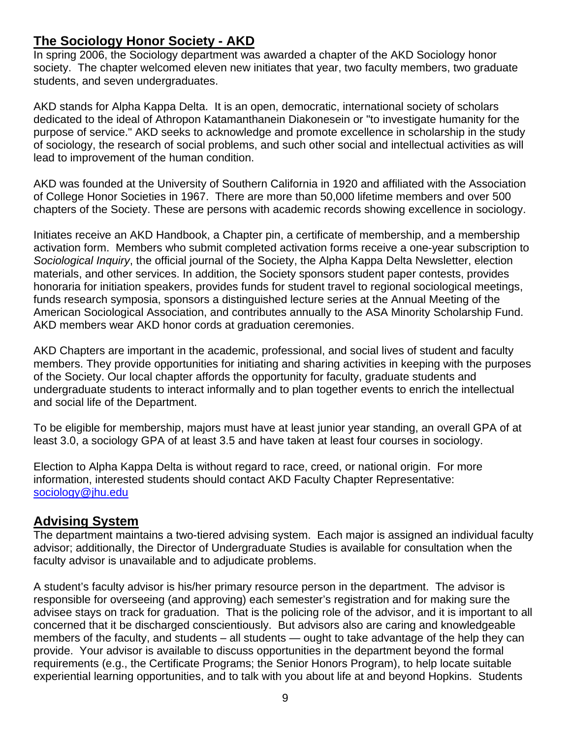# **The Sociology Honor Society - AKD**

In spring 2006, the Sociology department was awarded a chapter of the AKD Sociology honor society. The chapter welcomed eleven new initiates that year, two faculty members, two graduate students, and seven undergraduates.

AKD stands for Alpha Kappa Delta. It is an open, democratic, international society of scholars dedicated to the ideal of Athropon Katamanthanein Diakonesein or "to investigate humanity for the purpose of service." AKD seeks to acknowledge and promote excellence in scholarship in the study of sociology, the research of social problems, and such other social and intellectual activities as will lead to improvement of the human condition.

AKD was founded at the University of Southern California in 1920 and affiliated with the Association of College Honor Societies in 1967. There are more than 50,000 lifetime members and over 500 chapters of the Society. These are persons with academic records showing excellence in sociology.

Initiates receive an AKD Handbook, a Chapter pin, a certificate of membership, and a membership activation form. Members who submit completed activation forms receive a one-year subscription to *Sociological Inquiry*, the official journal of the Society, the Alpha Kappa Delta Newsletter, election materials, and other services. In addition, the Society sponsors student paper contests, provides honoraria for initiation speakers, provides funds for student travel to regional sociological meetings, funds research symposia, sponsors a distinguished lecture series at the Annual Meeting of the American Sociological Association, and contributes annually to the ASA Minority Scholarship Fund. AKD members wear AKD honor cords at graduation ceremonies.

AKD Chapters are important in the academic, professional, and social lives of student and faculty members. They provide opportunities for initiating and sharing activities in keeping with the purposes of the Society. Our local chapter affords the opportunity for faculty, graduate students and undergraduate students to interact informally and to plan together events to enrich the intellectual and social life of the Department.

To be eligible for membership, majors must have at least junior year standing, an overall GPA of at least 3.0, a sociology GPA of at least 3.5 and have taken at least four courses in sociology.

Election to Alpha Kappa Delta is without regard to race, creed, or national origin. For more information, interested students should contact AKD Faculty Chapter Representative: [sociology@jhu.edu](mailto:sociology@jhu.edu)

### **Advising System**

The department maintains a two-tiered advising system. Each major is assigned an individual faculty advisor; additionally, the Director of Undergraduate Studies is available for consultation when the faculty advisor is unavailable and to adjudicate problems.

A student's faculty advisor is his/her primary resource person in the department. The advisor is responsible for overseeing (and approving) each semester's registration and for making sure the advisee stays on track for graduation. That is the policing role of the advisor, and it is important to all concerned that it be discharged conscientiously. But advisors also are caring and knowledgeable members of the faculty, and students – all students — ought to take advantage of the help they can provide. Your advisor is available to discuss opportunities in the department beyond the formal requirements (e.g., the Certificate Programs; the Senior Honors Program), to help locate suitable experiential learning opportunities, and to talk with you about life at and beyond Hopkins. Students